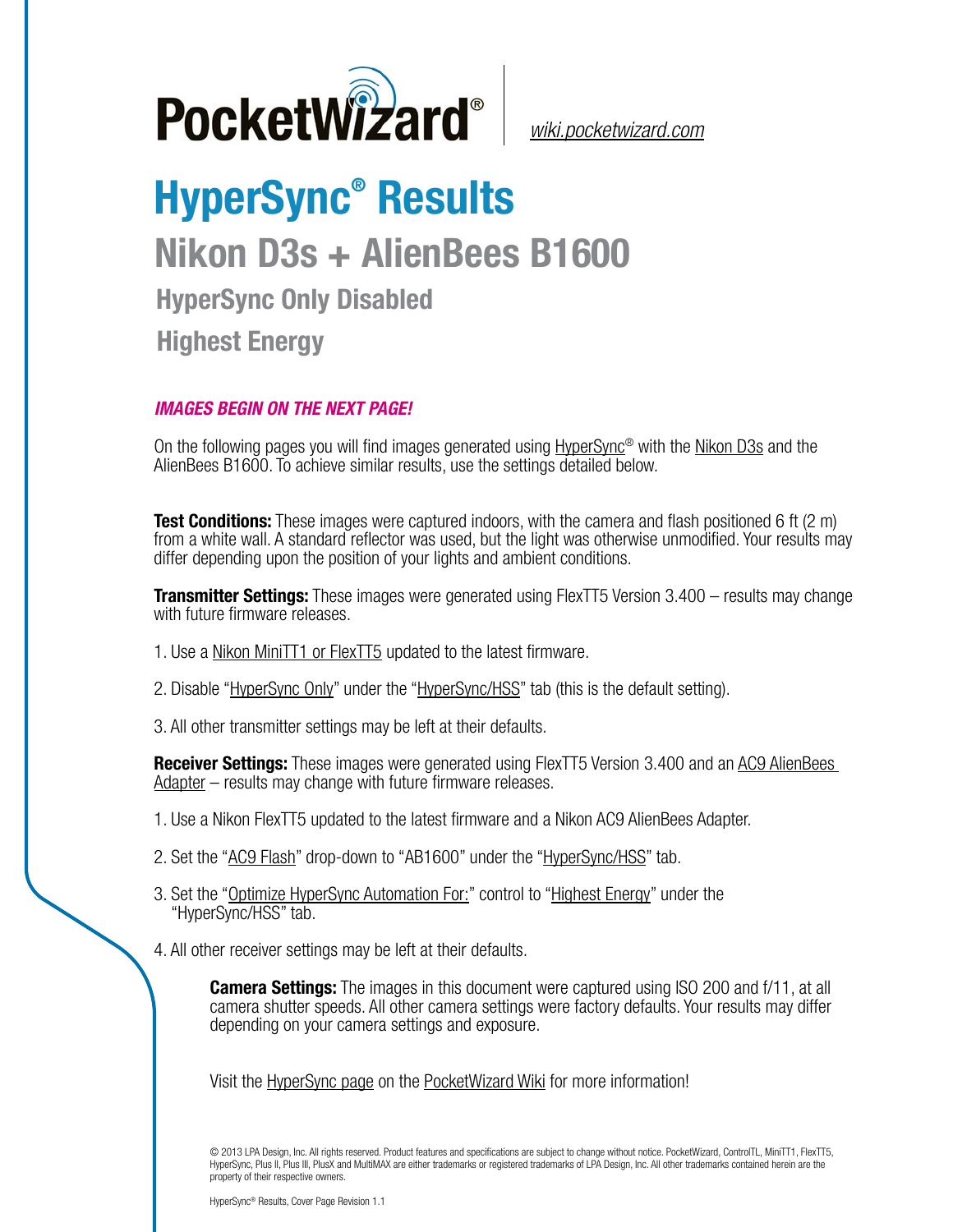

*[wiki.pocketwizard.com](http://wiki.pocketwizard.com/)*

## **HyperSync® Results Nikon D3s + AlienBees B1600 HyperSync Only Disabled Highest Energy**

## *IMAGES BEGIN ON THE NEXT PAGE!*

On the following pages you will find images generated using [HyperSync](http://wiki.pocketwizard.com/index.php?title=Hypersync)® with the [Nikon D3s](http://wiki.pocketwizard.com/index.php?title=Nikon_D3s) and the AlienBees B1600. To achieve similar results, use the settings detailed below.

**Test Conditions:** These images were captured indoors, with the camera and flash positioned 6 ft (2 m) from a white wall. A standard reflector was used, but the light was otherwise unmodified. Your results may differ depending upon the position of your lights and ambient conditions.

**Transmitter Settings:** These images were generated using FlexTT5 Version 3.400 – results may change with future firmware releases.

- 1. Use a [Nikon MiniTT1 or FlexTT5](http://wiki.pocketwizard.com/index.php?title=MiniTT1_and_FlexTT5) updated to the latest firmware.
- 2. Disable "[HyperSync Only](http://wiki.pocketwizard.com/index.php?title=Hypersync_hss_tab#HyperSync_Only_.28Disable_HSS.2FFP.29)" under the ["HyperSync/HSS](http://wiki.pocketwizard.com/index.php?title=Hypersync_hss_tab)" tab (this is the default setting).
- 3. All other transmitter settings may be left at their defaults.

**Receiver Settings:** These images were generated using FlexTT5 Version 3.400 and an [AC9 AlienBees](http://wiki.pocketwizard.com/index.php?title=AC9_AlienBees_Adapter)  [Adapter](http://wiki.pocketwizard.com/index.php?title=AC9_AlienBees_Adapter) – results may change with future firmware releases.

- 1. Use a Nikon [FlexTT5](http://wiki.pocketwizard.com/index.php?title=Canon_MiniTT1_and_FlexTT5) updated to the latest firmware and a Nikon AC9 AlienBees Adapter.
- 2. Set the "[AC9 Flash](http://wiki.pocketwizard.com/index.php?title=HyperSync/HSS_Tab#AC9_Flash)" drop-down to "AB1600" under the ["HyperSync/HSS](http://wiki.pocketwizard.com/index.php?title=Hypersync_hss_tab)" tab.
- 3. Set the "[Optimize HyperSync Automation For:](http://wiki.pocketwizard.com/index.php?title=HyperSync/HSS_Tab#Optimize_HyperSync_Automation_For:)" control to ["Highest Energy"](http://wiki.pocketwizard.com/index.php?title=HyperSync/HSS_Tab#Optimize_HyperSync_Automation_For:) under the "HyperSync/HSS" tab.
- 4. All other receiver settings may be left at their defaults.

**Camera Settings:** The images in this document were captured using ISO 200 and f/11, at all camera shutter speeds. All other camera settings were factory defaults. Your results may differ depending on your camera settings and exposure.

Visit the [HyperSync page](http://wiki.pocketwizard.com/index.php?title=Hypersync) on the [PocketWizard Wiki](http://wiki.pocketwizard.com/) for more information!

© 2013 LPA Design, Inc. All rights reserved. Product features and specifications are subject to change without notice. PocketWizard, ControlTL, MiniTT1, FlexTT5, HyperSync, Plus II, Plus III, PlusX and MultiMAX are either trademarks or registered trademarks of LPA Design, Inc. All other trademarks contained herein are the property of their respective owners.

HyperSync® Results, Cover Page Revision 1.1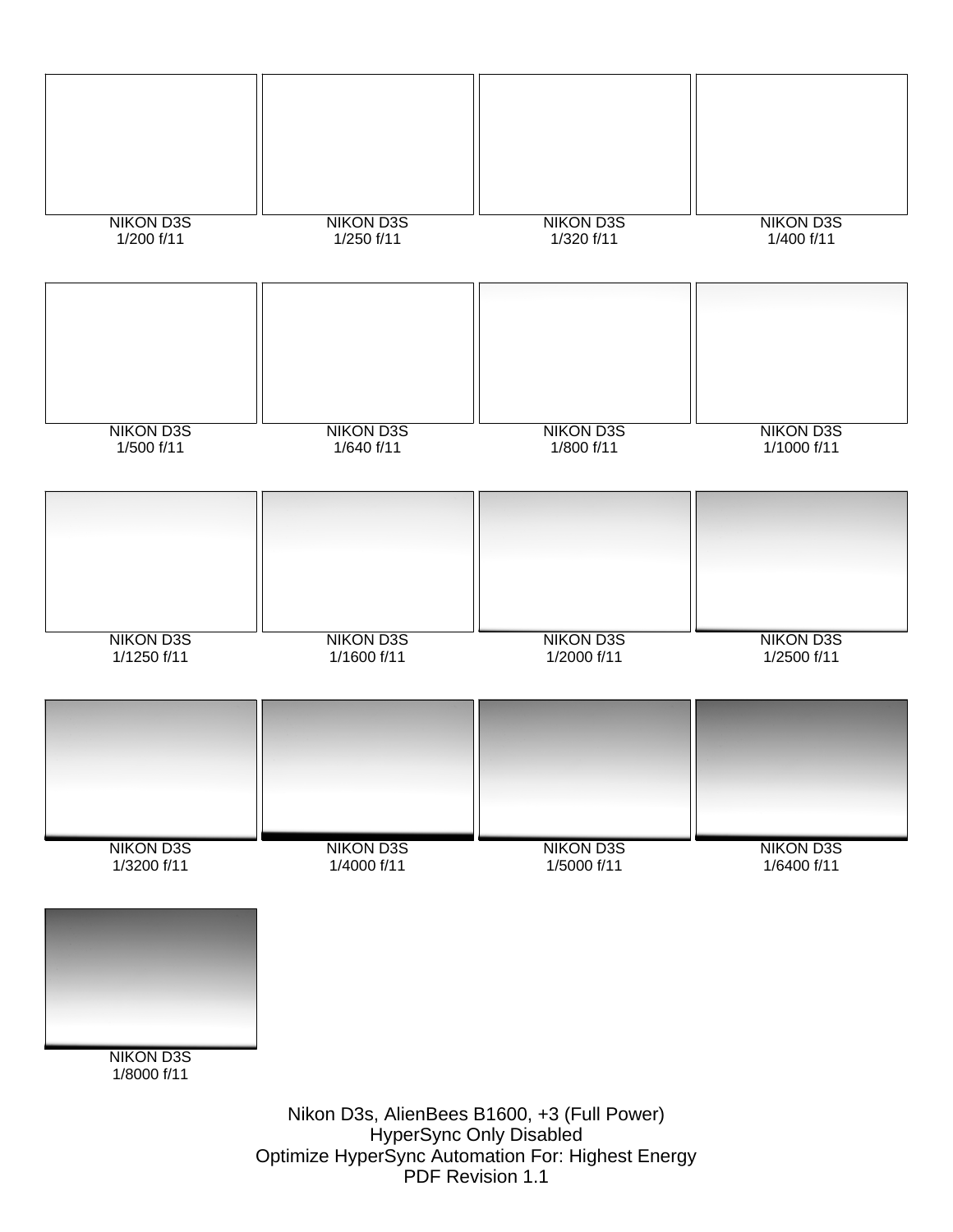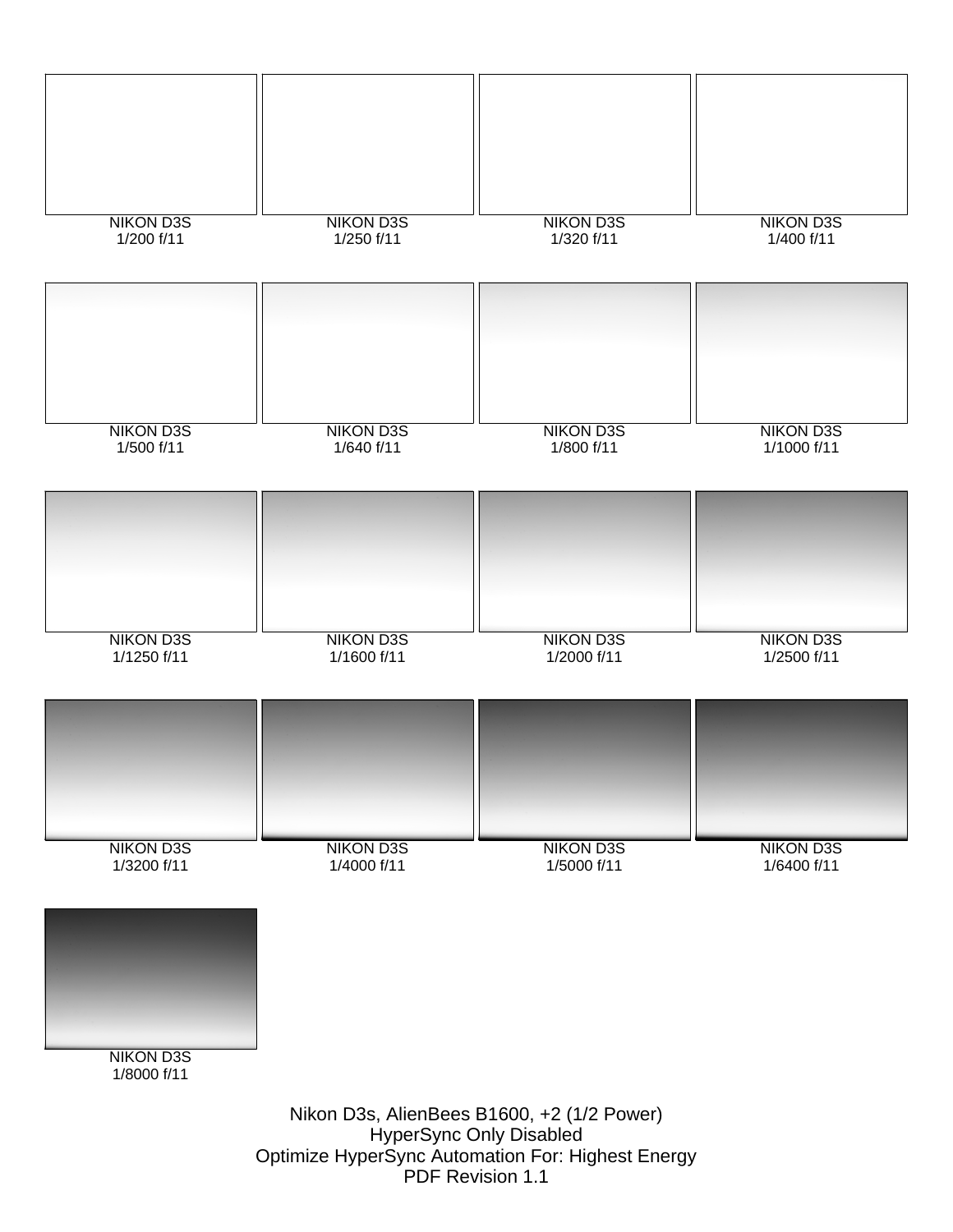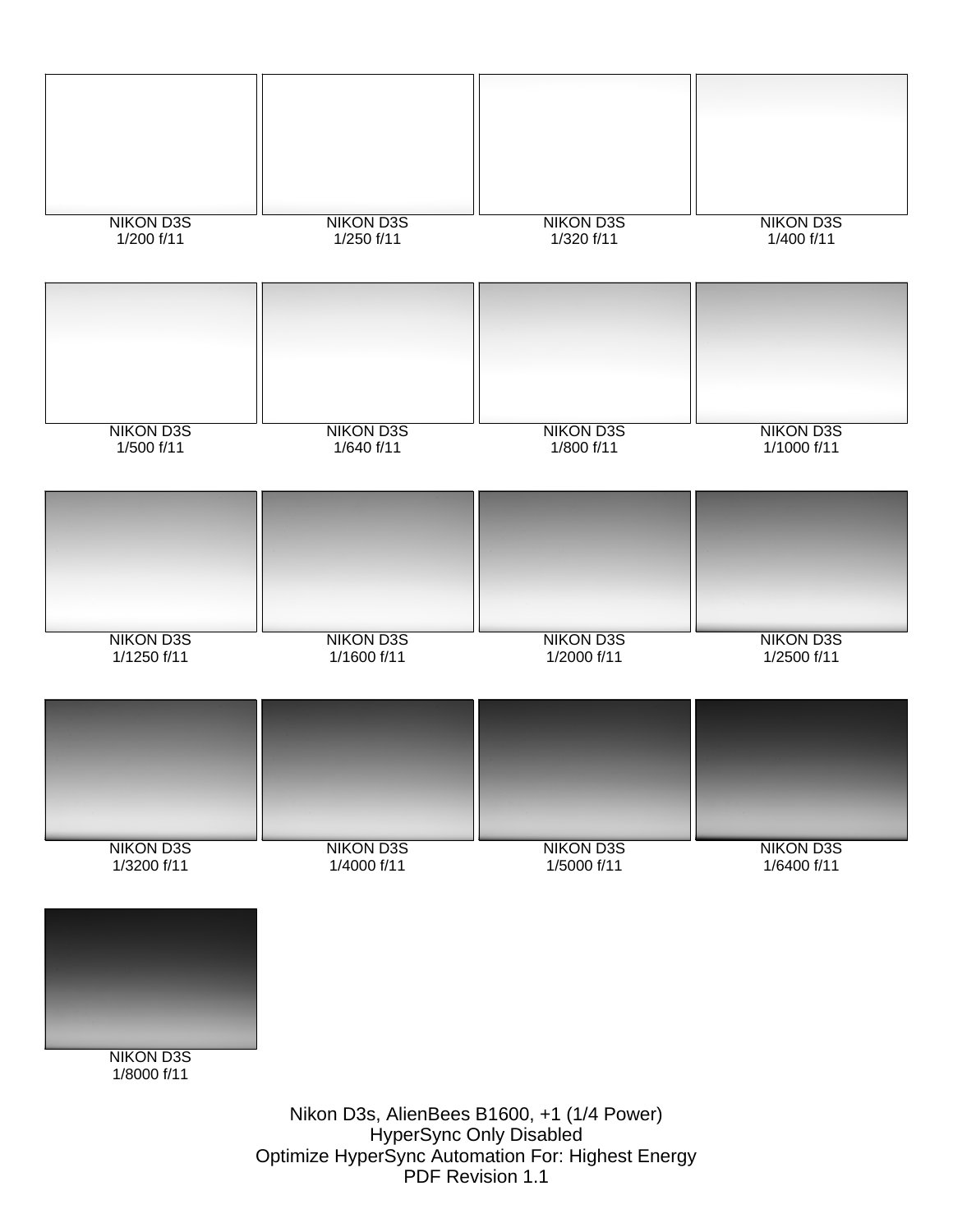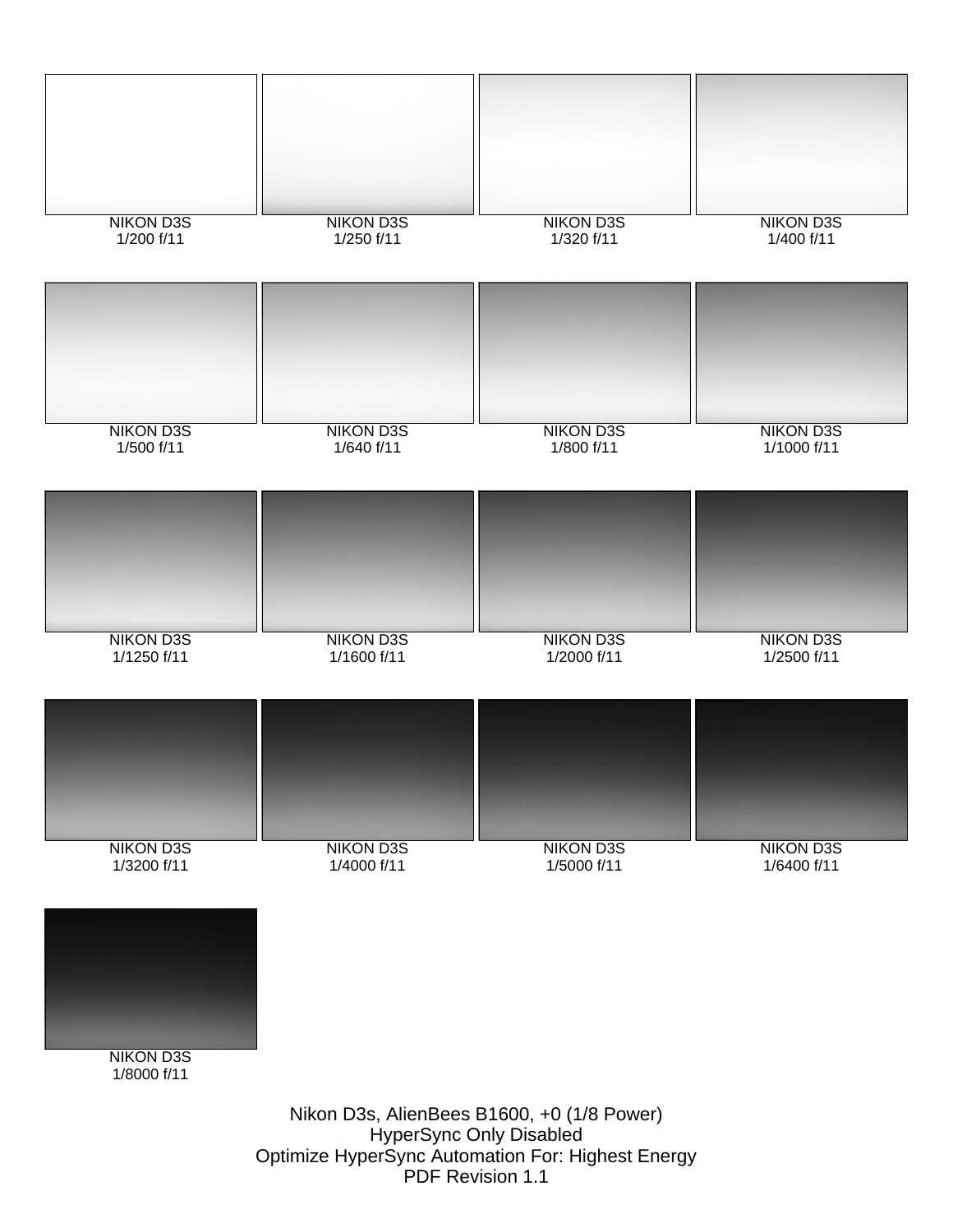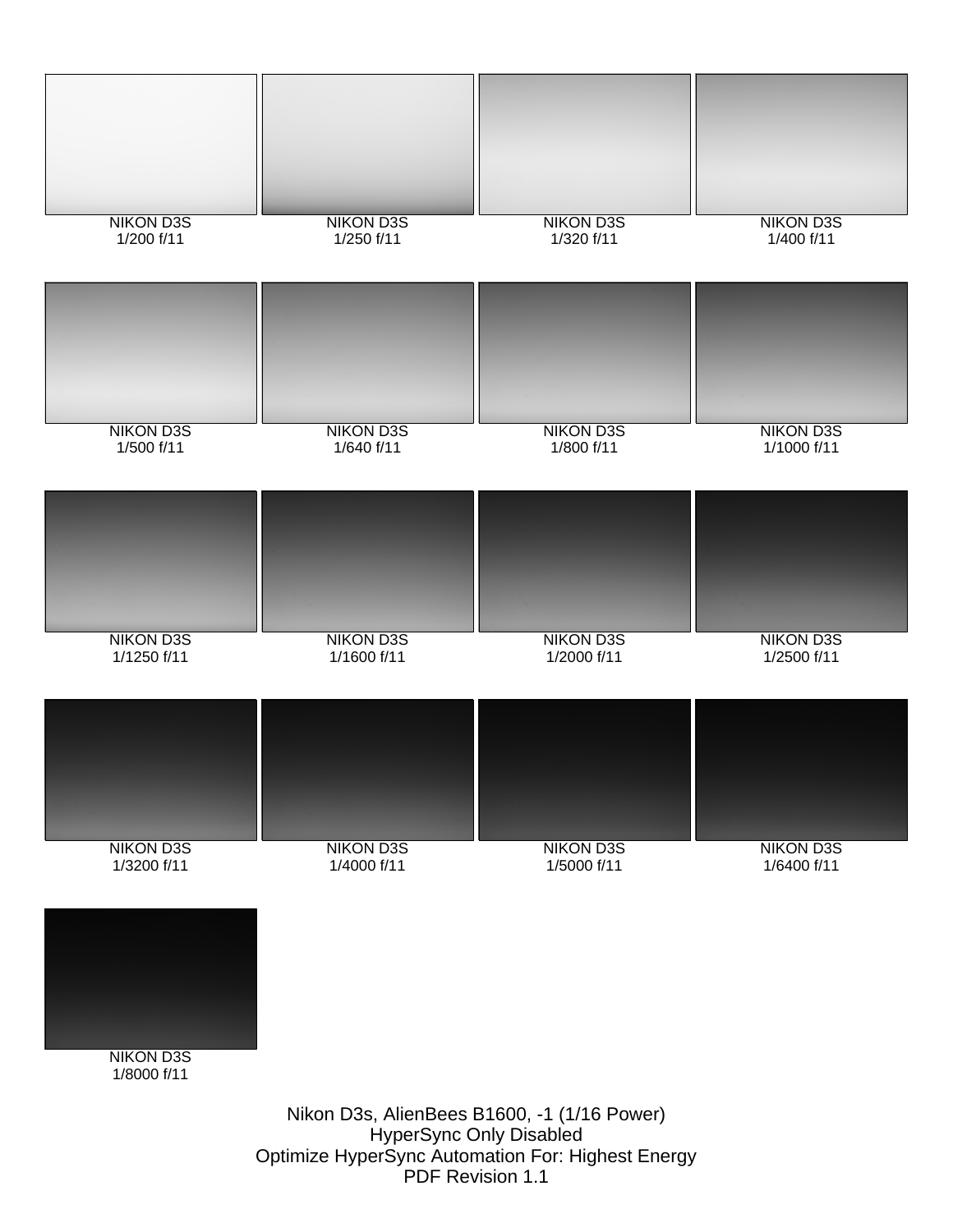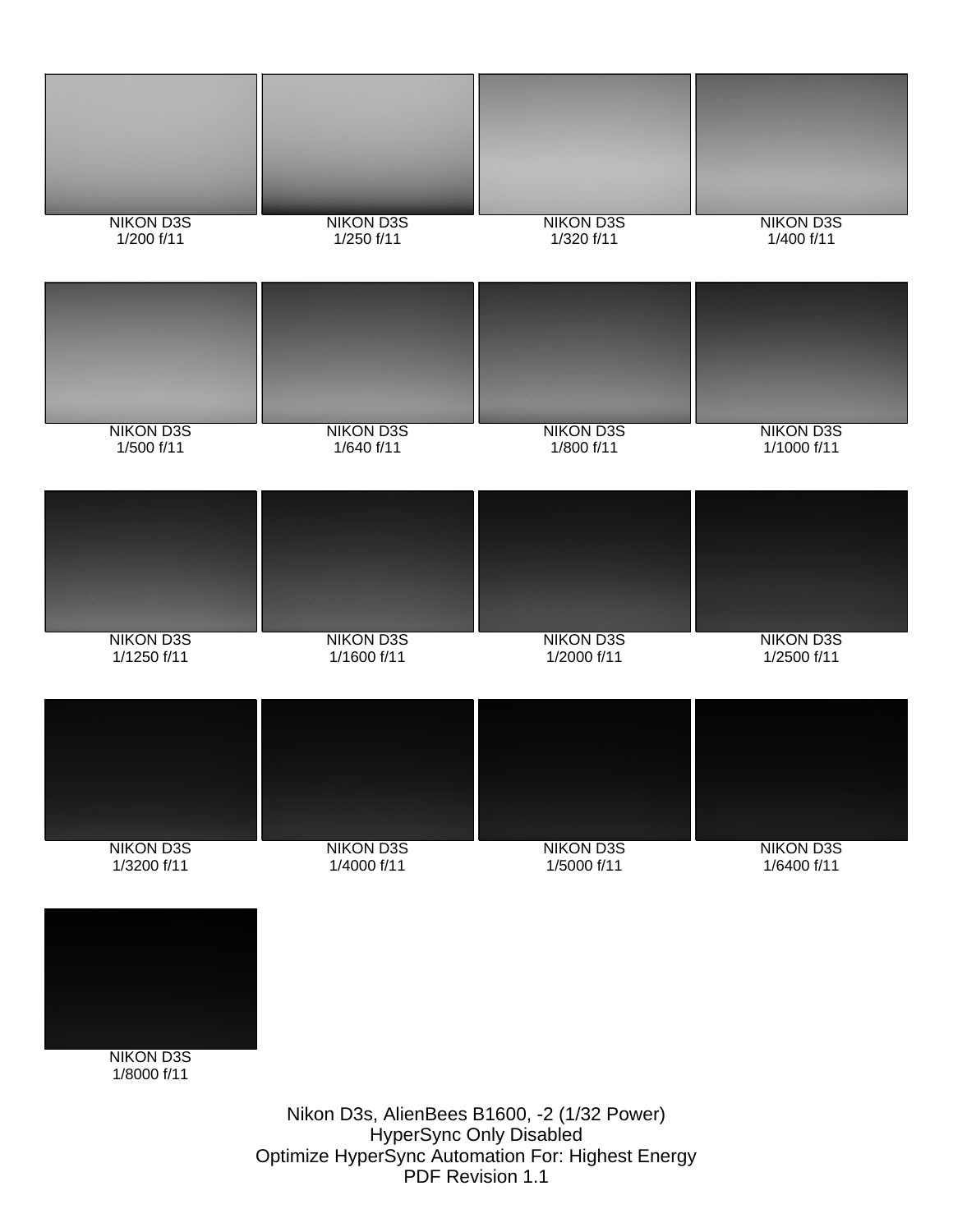